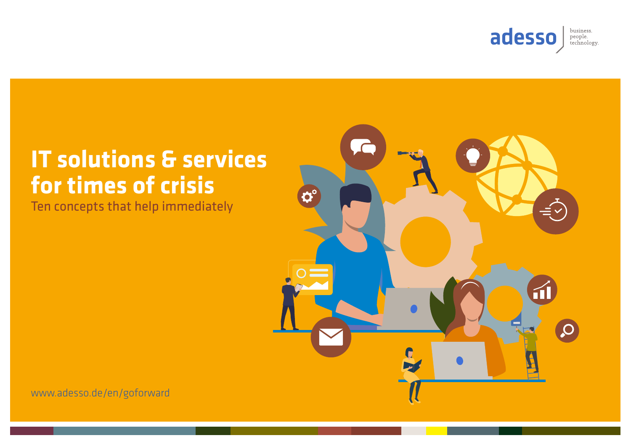

# **IT solutions & services for times of crisis**

Ten concepts that help immediately



[www.adesso.de/en/goforward](http://www.adesso.de/en/goforward)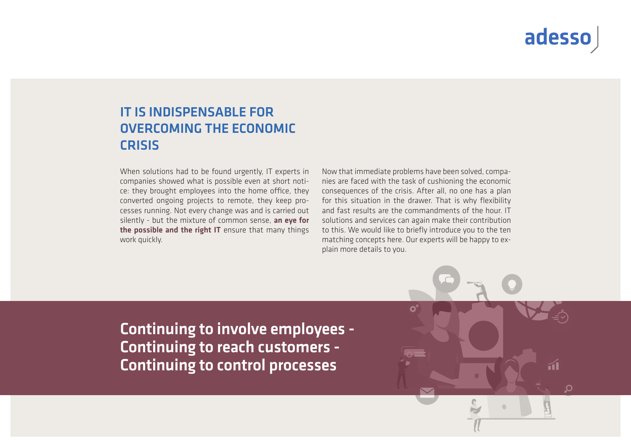## adesso

### IT IS INDISPENSABLE FOR OVERCOMING THE ECONOMIC CRISIS

When solutions had to be found urgently, IT experts in companies showed what is possible even at short notice: they brought employees into the home office, they converted ongoing projects to remote, they keep processes running. Not every change was and is carried out silently - but the mixture of common sense, an eye for the possible and the right IT ensure that many things work quickly.

Now that immediate problems have been solved, companies are faced with the task of cushioning the economic consequences of the crisis. After all, no one has a plan for this situation in the drawer. That is why flexibility and fast results are the commandments of the hour. IT solutions and services can again make their contribution to this. We would like to briefly introduce you to the ten matching concepts here. Our experts will be happy to explain more details to you.

Continuing to involve employees - Continuing to reach customers - Continuing to control processes

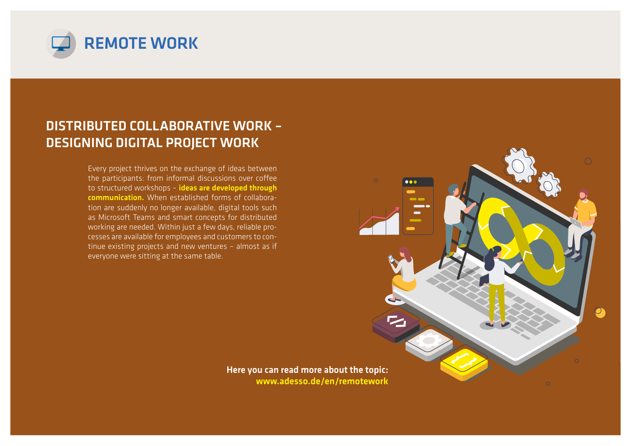

#### DISTRIBUTED COLLABORATIVE WORK – DESIGNING DIGITAL PROJECT WORK

Every project thrives on the exchange of ideas between the participants: from informal discussions over coffee to structured workshops – ideas are developed through communication. When established forms of collaboration are suddenly no longer available, digital tools such as Microsoft Teams and smart concepts for distributed working are needed. Within just a few days, reliable processes are available for employees and customers to continue existing projects and new ventures – almost as if everyone were sitting at the same table.



Here you can read more about the topic: www.adesso.de/en/remotework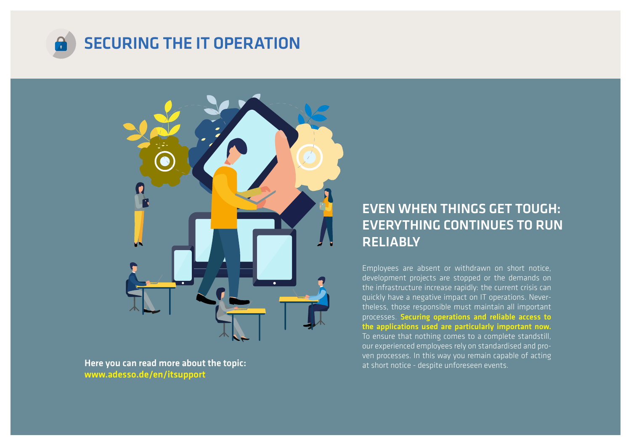



Here you can read more about the topic: www.adesso.de/en/itsupport

### EVEN WHEN THINGS GET TOUGH: EVERYTHING CONTINUES TO RUN RELIABLY

Employees are absent or withdrawn on short notice, development projects are stopped or the demands on the infrastructure increase rapidly: the current crisis can quickly have a negative impact on IT operations. Nevertheless, those responsible must maintain all important processes. Securing operations and reliable access to the applications used are particularly important now. To ensure that nothing comes to a complete standstill, our experienced employees rely on standardised and proven processes. In this way you remain capable of acting at short notice - despite unforeseen events.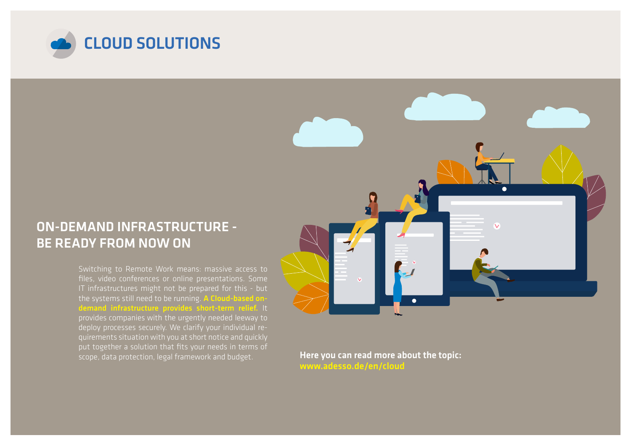

#### ON-DEMAND INFRASTRUCTURE - BE READY FROM NOW ON

Switching to Remote Work means: massive access to files, video conferences or online presentations. Some IT infrastructures might not be prepared for this - but the systems still need to be running. A Cloud-based ondemand infrastructure provides short-term relief. It provides companies with the urgently needed leeway to deploy processes securely. We clarify your individual requirements situation with you at short notice and quickly put together a solution that fits your needs in terms of scope, data protection, legal framework and budget.

Here you can read more about the topic: www.adesso.de/en/cloud

 $\bullet$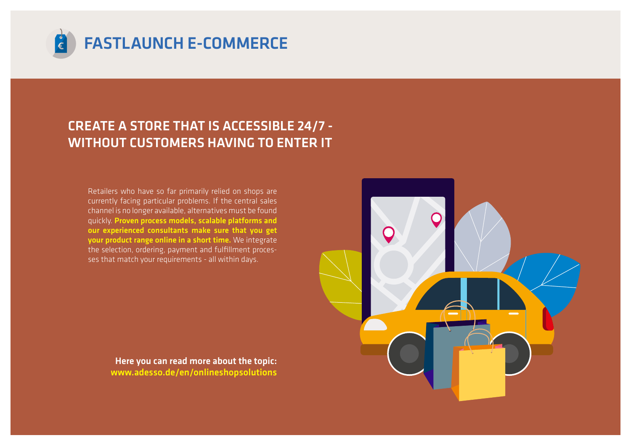

#### CREATE A STORE THAT IS ACCESSIBLE 24/7 - WITHOUT CUSTOMERS HAVING TO ENTER IT

Retailers who have so far primarily relied on shops are currently facing particular problems. If the central sales channel is no longer available, alternatives must be found quickly. Proven process models, scalable platforms and our experienced consultants make sure that you get your product range online in a short time. We integrate the selection, ordering, payment and fulfillment processes that match your requirements - all within days.

> Here you can read more about the topic: [www.adesso.de/en/onlineshopsolutions](http://www.adesso.de/en/onlineshopsolutions)

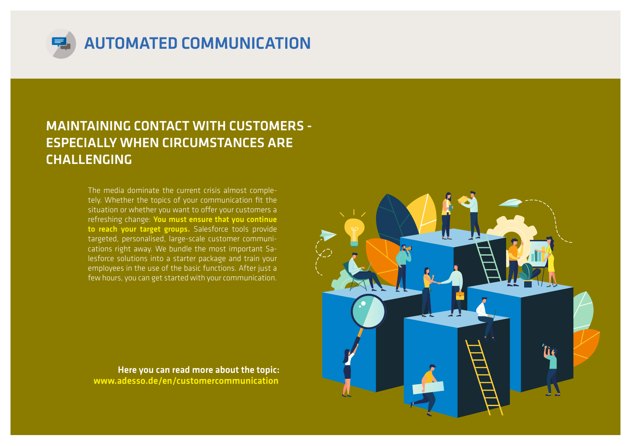

#### MAINTAINING CONTACT WITH CUSTOMERS - ESPECIALLY WHEN CIRCUMSTANCES ARE CHALLENGING

The media dominate the current crisis almost completely. Whether the topics of your communication fit the situation or whether you want to offer your customers a refreshing change: You must ensure that you continue to reach your target groups. Salesforce tools provide targeted, personalised, large-scale customer communications right away. We bundle the most important Salesforce solutions into a starter package and train your employees in the use of the basic functions. After just a few hours, you can get started with your communication.

Here you can read more about the topic: [www.adesso.de/en/customercommunication](http://www.adesso.de/en/customercommunication)

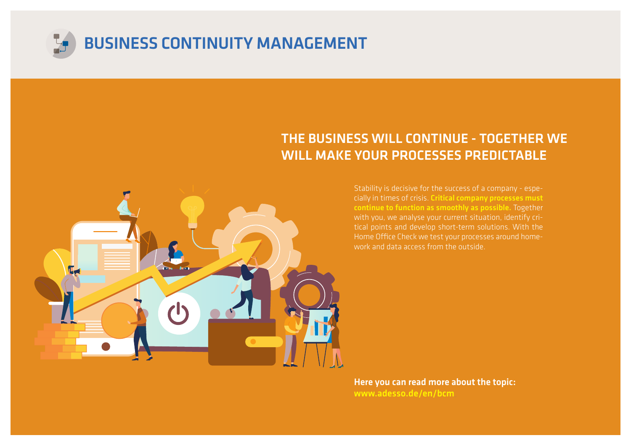

#### THE BUSINESS WILL CONTINUE - TOGETHER WE WILL MAKE YOUR PROCESSES PREDICTABLE



Stability is decisive for the success of a company - especially in times of crisis. Critical company processes must continue to function as smoothly as possible. Together with you, we analyse your current situation, identify critical points and develop short-term solutions. With the Home Office Check we test your processes around homework and data access from the outside.

Here you can read more about the topic: [www.adesso.de/en/bcm](http://www.adesso.de/en/bcm)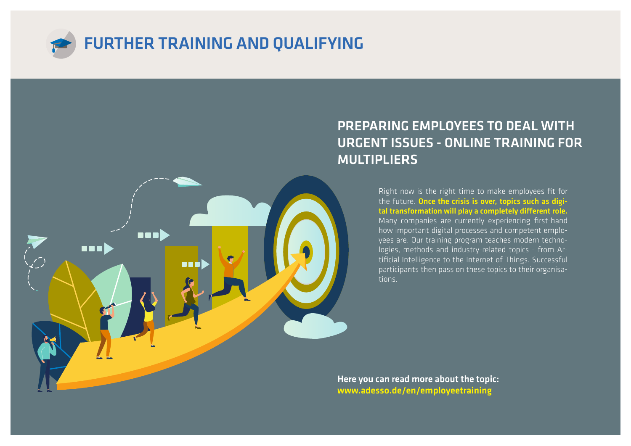

mad

**RET** 

**BEE)** 

#### PREPARING EMPLOYEES TO DEAL WITH URGENT ISSUES - ONLINE TRAINING FOR MULTIPLIERS

Right now is the right time to make employees fit for the future. Once the crisis is over, topics such as digital transformation will play a completely different role. Many companies are currently experiencing first-hand how important digital processes and competent employees are. Our training program teaches modern technologies, methods and industry-related topics - from Artificial Intelligence to the Internet of Things. Successful participants then pass on these topics to their organisations.

Here you can read more about the topic: [www.adesso.de/en/employeetraining](http://www.adesso.de/en/employeetraining)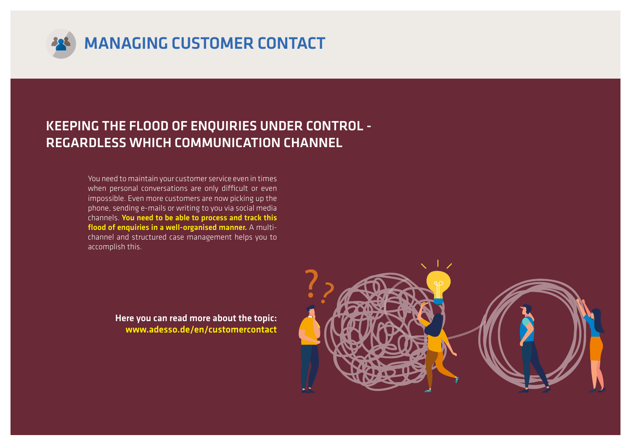

### KEEPING THE FLOOD OF ENQUIRIES UNDER CONTROL - REGARDLESS WHICH COMMUNICATION CHANNEL

You need to maintain your customer service even in times when personal conversations are only difficult or even impossible. Even more customers are now picking up the phone, sending e-mails or writing to you via social media channels. You need to be able to process and track this flood of enquiries in a well-organised manner. A multichannel and structured case management helps you to accomplish this.

> Here you can read more about the topic: [www.adesso.de/en/customercontact](http://www.adesso.de/en/customercontact)

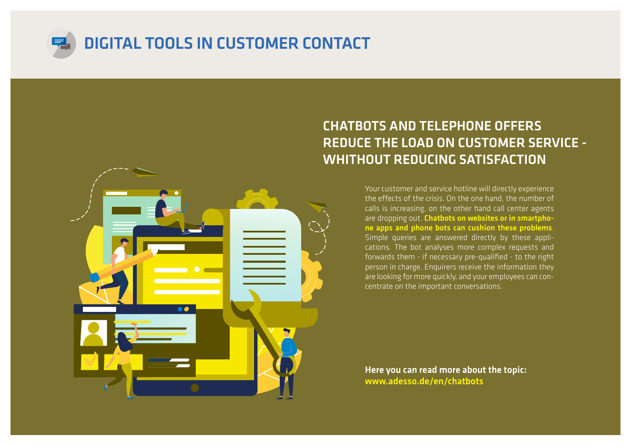



#### CHATBOTS AND TELEPHONE OFFERS REDUCE THE LOAD ON CUSTOMER SERVICE - WHITHOUT REDUCING SATISFACTION

Your customer and service hotline will directly experience the effects of the crisis. On the one hand, the number of calls is increasing, on the other hand call center agents are dropping out. Chatbots on websites or in smartphone apps and phone bots can cushion these problems. Simple queries are answered directly by these applications. The bot analyses more complex requests and forwards them - if necessary pre-qualified - to the right person in charge. Enquirers receive the information they are looking for more quickly, and your employees can concentrate on the important conversations.

Here you can read more about the topic: [www.adesso.de/en/chatbots](http://www.adesso.de/en/chatbots)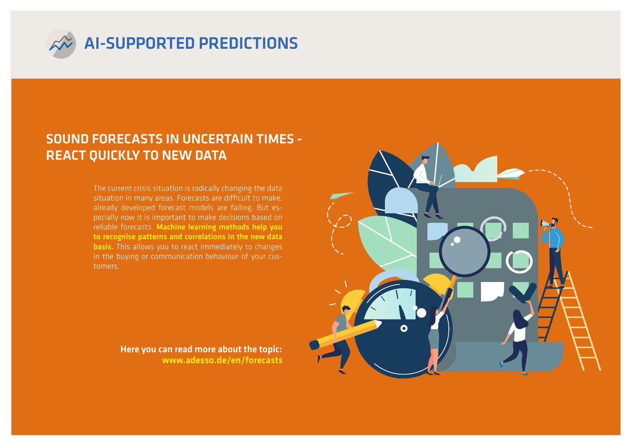

#### SOUND FORECASTS IN UNCERTAIN TIMES - REACT QUICKLY TO NEW DATA

The current crisis situation is radically changing the data situation in many areas. Forecasts are difficult to make, already developed forecast models are failing. But especially now it is important to make decisions based on reliable forecasts. Machine learning methods help you to recognise patterns and correlations in the new data basis. This allows you to react immediately to changes in the buying or communication behaviour of your customers.

> [www.adesso.de/en/forecasts](http://www.adesso.de/en/forecasts) Here you can read more about the topic:

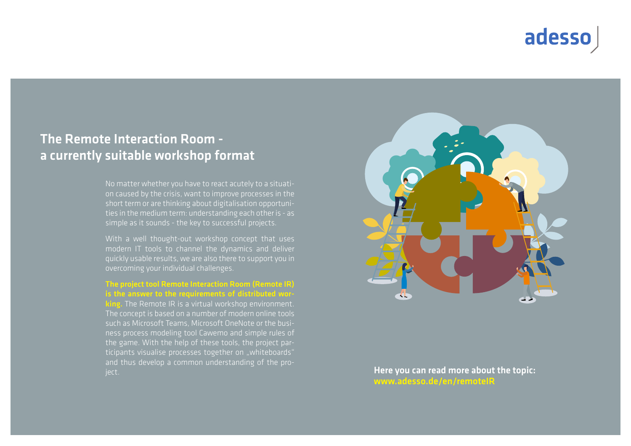### adesso

#### The Remote Interaction Room a currently suitable workshop format

No matter whether you have to react acutely to a situation caused by the crisis, want to improve processes in the short term or are thinking about digitalisation opportunities in the medium term: understanding each other is - as simple as it sounds - the key to successful projects.

With a well thought-out workshop concept that uses modern IT tools to channel the dynamics and deliver quickly usable results, we are also there to support you in overcoming your individual challenges.

The project tool Remote Interaction Room (Remote IR) is the answer to the requirements of distributed working. The Remote IR is a virtual workshop environment. The concept is based on a number of modern online tools such as Microsoft Teams, Microsoft OneNote or the business process modeling tool Cawemo and simple rules of the game. With the help of these tools, the project participants visualise processes together on "whiteboards" and thus develop a common understanding of the proiect.



Here you can read more about the topic: [www.adesso.de/en/remoteIR](http://www.adesso.de/en/remoteIR)